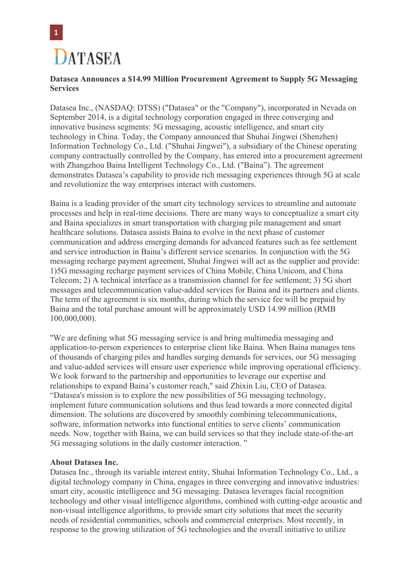

## **Datasea Announces a \$14.99 Million Procurement Agreement to Supply 5G Messaging Services**

Datasea Inc., (NASDAQ: DTSS) ("Datasea" or the "Company"), incorporated in Nevada on September 2014, is a digital technology corporation engaged in three converging and innovative business segments: 5G messaging, acoustic intelligence, and smart city technology in China. Today, the Company announced that Shuhai Jingwei (Shenzhen) Information Technology Co., Ltd. ("Shuhai Jingwei"), a subsidiary of the Chinese operating company contractually controlled by the Company, has entered into a procurement agreement with Zhangzhou Baina Intelligent Technology Co., Ltd. ("Baina"). The agreement demonstrates Datasea's capability to provide rich messaging experiences through 5G at scale and revolutionize the way enterprises interact with customers.

Baina is a leading provider of the smart city technology services to streamline and automate processes and help in real-time decisions. There are many ways to conceptualize a smart city and Baina specializes in smart transportation with charging pile management and smart healthcare solutions. Datasea assists Baina to evolve in the next phase of customer communication and address emerging demands for advanced features such as fee settlement and service introduction in Baina's different service scenarios. In conjunction with the 5G messaging recharge payment agreement, Shuhai Jingwei will act as the supplier and provide: 1)5G messaging recharge payment services of China Mobile, China Unicom, and China Telecom; 2) A technical interface as a transmission channel for fee settlement; 3) 5G short messages and telecommunication value-added services for Baina and its partners and clients. The term of the agreement is six months, during which the service fee will be prepaid by Baina and the total purchase amount will be approximately USD 14.99 million (RMB 100,000,000).

"We are defining what 5G messaging service is and bring multimedia messaging and application-to-person experiences to enterprise client like Baina. When Baina manages tens of thousands of charging piles and handles surging demands for services, our 5G messaging and value-added services will ensure user experience while improving operational efficiency. We look forward to the partnership and opportunities to leverage our expertise and relationships to expand Baina's customer reach," said Zhixin Liu, CEO of Datasea. "Datasea's mission is to explore the new possibilities of 5G messaging technology, implement future communication solutions and thus lead towards a more connected digital dimension. The solutions are discovered by smoothly combining telecommunications, software, information networks into functional entities to serve clients' communication needs. Now, together with Baina, we can build services so that they include state-of-the-art 5G messaging solutions in the daily customer interaction. "

## **About Datasea Inc.**

Datasea Inc., through its variable interest entity, Shuhai Information Technology Co., Ltd., a digital technology company in China, engages in three converging and innovative industries: smart city, acoustic intelligence and 5G messaging. Datasea leverages facial recognition technology and other visual intelligence algorithms, combined with cutting-edge acoustic and non-visual intelligence algorithms, to provide smart city solutions that meet the security needs of residential communities, schools and commercial enterprises. Most recently, in response to the growing utilization of 5G technologies and the overall initiative to utilize